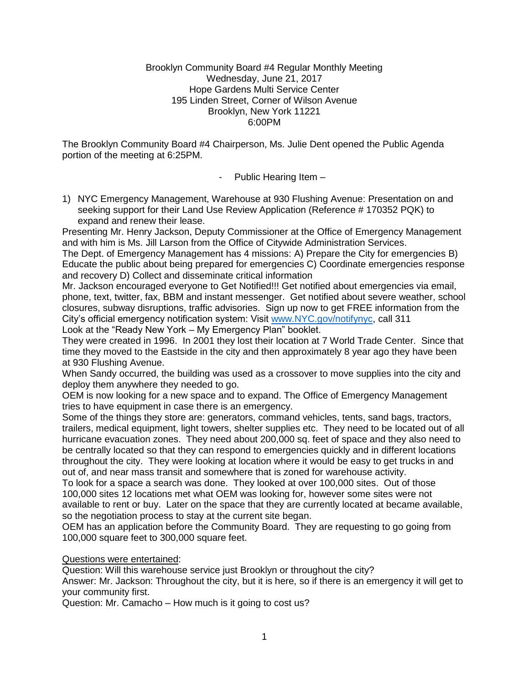#### Brooklyn Community Board #4 Regular Monthly Meeting Wednesday, June 21, 2017 Hope Gardens Multi Service Center 195 Linden Street, Corner of Wilson Avenue Brooklyn, New York 11221 6:00PM

The Brooklyn Community Board #4 Chairperson, Ms. Julie Dent opened the Public Agenda portion of the meeting at 6:25PM.

- Public Hearing Item –

1) NYC Emergency Management, Warehouse at 930 Flushing Avenue: Presentation on and seeking support for their Land Use Review Application (Reference # 170352 PQK) to expand and renew their lease.

Presenting Mr. Henry Jackson, Deputy Commissioner at the Office of Emergency Management and with him is Ms. Jill Larson from the Office of Citywide Administration Services.

The Dept. of Emergency Management has 4 missions: A) Prepare the City for emergencies B) Educate the public about being prepared for emergencies C) Coordinate emergencies response and recovery D) Collect and disseminate critical information

Mr. Jackson encouraged everyone to Get Notified!!! Get notified about emergencies via email, phone, text, twitter, fax, BBM and instant messenger. Get notified about severe weather, school closures, subway disruptions, traffic advisories. Sign up now to get FREE information from the City's official emergency notification system: Visit [www.NYC.gov/notifynyc,](http://www.nyc.gov/notifynyc) call 311 Look at the "Ready New York – My Emergency Plan" booklet.

They were created in 1996. In 2001 they lost their location at 7 World Trade Center. Since that time they moved to the Eastside in the city and then approximately 8 year ago they have been at 930 Flushing Avenue.

When Sandy occurred, the building was used as a crossover to move supplies into the city and deploy them anywhere they needed to go.

OEM is now looking for a new space and to expand. The Office of Emergency Management tries to have equipment in case there is an emergency.

Some of the things they store are: generators, command vehicles, tents, sand bags, tractors, trailers, medical equipment, light towers, shelter supplies etc. They need to be located out of all hurricane evacuation zones. They need about 200,000 sq. feet of space and they also need to be centrally located so that they can respond to emergencies quickly and in different locations throughout the city. They were looking at location where it would be easy to get trucks in and out of, and near mass transit and somewhere that is zoned for warehouse activity.

To look for a space a search was done. They looked at over 100,000 sites. Out of those 100,000 sites 12 locations met what OEM was looking for, however some sites were not available to rent or buy. Later on the space that they are currently located at became available, so the negotiation process to stay at the current site began.

OEM has an application before the Community Board. They are requesting to go going from 100,000 square feet to 300,000 square feet.

## Questions were entertained:

Question: Will this warehouse service just Brooklyn or throughout the city?

Answer: Mr. Jackson: Throughout the city, but it is here, so if there is an emergency it will get to your community first.

Question: Mr. Camacho – How much is it going to cost us?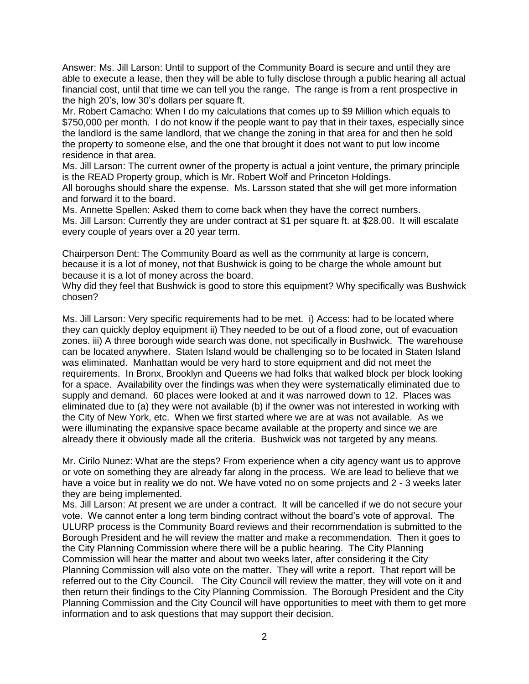Answer: Ms. Jill Larson: Until to support of the Community Board is secure and until they are able to execute a lease, then they will be able to fully disclose through a public hearing all actual financial cost, until that time we can tell you the range. The range is from a rent prospective in the high 20's, low 30's dollars per square ft.

Mr. Robert Camacho: When I do my calculations that comes up to \$9 Million which equals to \$750,000 per month. I do not know if the people want to pay that in their taxes, especially since the landlord is the same landlord, that we change the zoning in that area for and then he sold the property to someone else, and the one that brought it does not want to put low income residence in that area.

Ms. Jill Larson: The current owner of the property is actual a joint venture, the primary principle is the READ Property group, which is Mr. Robert Wolf and Princeton Holdings.

All boroughs should share the expense. Ms. Larsson stated that she will get more information and forward it to the board.

Ms. Annette Spellen: Asked them to come back when they have the correct numbers. Ms. Jill Larson: Currently they are under contract at \$1 per square ft. at \$28.00. It will escalate every couple of years over a 20 year term.

Chairperson Dent: The Community Board as well as the community at large is concern, because it is a lot of money, not that Bushwick is going to be charge the whole amount but because it is a lot of money across the board.

Why did they feel that Bushwick is good to store this equipment? Why specifically was Bushwick chosen?

Ms. Jill Larson: Very specific requirements had to be met. i) Access: had to be located where they can quickly deploy equipment ii) They needed to be out of a flood zone, out of evacuation zones. iii) A three borough wide search was done, not specifically in Bushwick. The warehouse can be located anywhere. Staten Island would be challenging so to be located in Staten Island was eliminated. Manhattan would be very hard to store equipment and did not meet the requirements. In Bronx, Brooklyn and Queens we had folks that walked block per block looking for a space. Availability over the findings was when they were systematically eliminated due to supply and demand. 60 places were looked at and it was narrowed down to 12. Places was eliminated due to (a) they were not available (b) if the owner was not interested in working with the City of New York, etc. When we first started where we are at was not available. As we were illuminating the expansive space became available at the property and since we are already there it obviously made all the criteria. Bushwick was not targeted by any means.

Mr. Cirilo Nunez: What are the steps? From experience when a city agency want us to approve or vote on something they are already far along in the process. We are lead to believe that we have a voice but in reality we do not. We have voted no on some projects and 2 - 3 weeks later they are being implemented.

Ms. Jill Larson: At present we are under a contract. It will be cancelled if we do not secure your vote. We cannot enter a long term binding contract without the board's vote of approval. The ULURP process is the Community Board reviews and their recommendation is submitted to the Borough President and he will review the matter and make a recommendation. Then it goes to the City Planning Commission where there will be a public hearing. The City Planning Commission will hear the matter and about two weeks later, after considering it the City Planning Commission will also vote on the matter. They will write a report. That report will be referred out to the City Council. The City Council will review the matter, they will vote on it and then return their findings to the City Planning Commission. The Borough President and the City Planning Commission and the City Council will have opportunities to meet with them to get more information and to ask questions that may support their decision.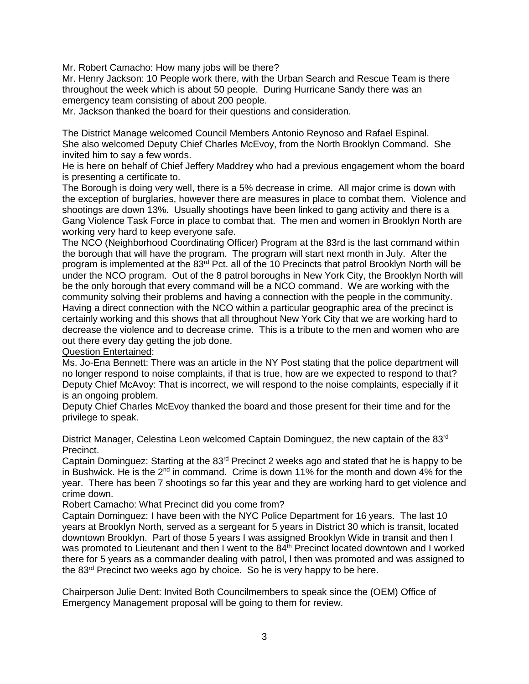Mr. Robert Camacho: How many jobs will be there?

Mr. Henry Jackson: 10 People work there, with the Urban Search and Rescue Team is there throughout the week which is about 50 people. During Hurricane Sandy there was an emergency team consisting of about 200 people.

Mr. Jackson thanked the board for their questions and consideration.

The District Manage welcomed Council Members Antonio Reynoso and Rafael Espinal. She also welcomed Deputy Chief Charles McEvoy, from the North Brooklyn Command. She invited him to say a few words.

He is here on behalf of Chief Jeffery Maddrey who had a previous engagement whom the board is presenting a certificate to.

The Borough is doing very well, there is a 5% decrease in crime. All major crime is down with the exception of burglaries, however there are measures in place to combat them. Violence and shootings are down 13%. Usually shootings have been linked to gang activity and there is a Gang Violence Task Force in place to combat that. The men and women in Brooklyn North are working very hard to keep everyone safe.

The NCO (Neighborhood Coordinating Officer) Program at the 83rd is the last command within the borough that will have the program. The program will start next month in July. After the program is implemented at the 83<sup>rd</sup> Pct. all of the 10 Precincts that patrol Brooklyn North will be under the NCO program. Out of the 8 patrol boroughs in New York City, the Brooklyn North will be the only borough that every command will be a NCO command. We are working with the community solving their problems and having a connection with the people in the community. Having a direct connection with the NCO within a particular geographic area of the precinct is certainly working and this shows that all throughout New York City that we are working hard to decrease the violence and to decrease crime. This is a tribute to the men and women who are out there every day getting the job done.

Question Entertained:

Ms. Jo-Ena Bennett: There was an article in the NY Post stating that the police department will no longer respond to noise complaints, if that is true, how are we expected to respond to that? Deputy Chief McAvoy: That is incorrect, we will respond to the noise complaints, especially if it is an ongoing problem.

Deputy Chief Charles McEvoy thanked the board and those present for their time and for the privilege to speak.

District Manager, Celestina Leon welcomed Captain Dominguez, the new captain of the 83<sup>rd</sup> Precinct.

Captain Dominguez: Starting at the 83<sup>rd</sup> Precinct 2 weeks ago and stated that he is happy to be in Bushwick. He is the  $2^{nd}$  in command. Crime is down 11% for the month and down 4% for the year. There has been 7 shootings so far this year and they are working hard to get violence and crime down.

Robert Camacho: What Precinct did you come from?

Captain Dominguez: I have been with the NYC Police Department for 16 years. The last 10 years at Brooklyn North, served as a sergeant for 5 years in District 30 which is transit, located downtown Brooklyn. Part of those 5 years I was assigned Brooklyn Wide in transit and then I was promoted to Lieutenant and then I went to the 84<sup>th</sup> Precinct located downtown and I worked there for 5 years as a commander dealing with patrol, l then was promoted and was assigned to the 83rd Precinct two weeks ago by choice. So he is very happy to be here.

Chairperson Julie Dent: Invited Both Councilmembers to speak since the (OEM) Office of Emergency Management proposal will be going to them for review.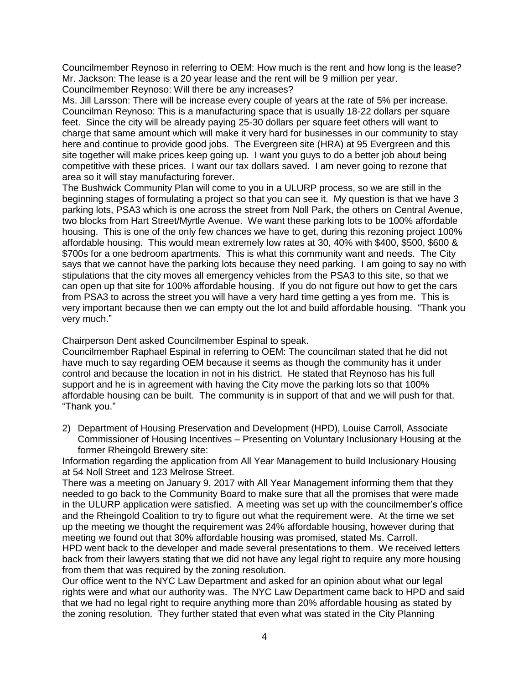Councilmember Reynoso in referring to OEM: How much is the rent and how long is the lease? Mr. Jackson: The lease is a 20 year lease and the rent will be 9 million per year. Councilmember Reynoso: Will there be any increases?

Ms. Jill Larsson: There will be increase every couple of years at the rate of 5% per increase. Councilman Reynoso: This is a manufacturing space that is usually 18-22 dollars per square feet. Since the city will be already paying 25-30 dollars per square feet others will want to charge that same amount which will make it very hard for businesses in our community to stay here and continue to provide good jobs. The Evergreen site (HRA) at 95 Evergreen and this site together will make prices keep going up. I want you guys to do a better job about being competitive with these prices. I want our tax dollars saved. I am never going to rezone that area so it will stay manufacturing forever.

The Bushwick Community Plan will come to you in a ULURP process, so we are still in the beginning stages of formulating a project so that you can see it. My question is that we have 3 parking lots, PSA3 which is one across the street from Noll Park, the others on Central Avenue, two blocks from Hart Street/Myrtle Avenue. We want these parking lots to be 100% affordable housing. This is one of the only few chances we have to get, during this rezoning project 100% affordable housing. This would mean extremely low rates at 30, 40% with \$400, \$500, \$600 & \$700s for a one bedroom apartments. This is what this community want and needs. The City says that we cannot have the parking lots because they need parking. I am going to say no with stipulations that the city moves all emergency vehicles from the PSA3 to this site, so that we can open up that site for 100% affordable housing. If you do not figure out how to get the cars from PSA3 to across the street you will have a very hard time getting a yes from me. This is very important because then we can empty out the lot and build affordable housing. "Thank you very much."

Chairperson Dent asked Councilmember Espinal to speak.

Councilmember Raphael Espinal in referring to OEM: The councilman stated that he did not have much to say regarding OEM because it seems as though the community has it under control and because the location in not in his district. He stated that Reynoso has his full support and he is in agreement with having the City move the parking lots so that 100% affordable housing can be built. The community is in support of that and we will push for that. "Thank you."

2) Department of Housing Preservation and Development (HPD), Louise Carroll, Associate Commissioner of Housing Incentives – Presenting on Voluntary Inclusionary Housing at the former Rheingold Brewery site:

Information regarding the application from All Year Management to build Inclusionary Housing at 54 Noll Street and 123 Melrose Street.

There was a meeting on January 9, 2017 with All Year Management informing them that they needed to go back to the Community Board to make sure that all the promises that were made in the ULURP application were satisfied. A meeting was set up with the councilmember's office and the Rheingold Coalition to try to figure out what the requirement were. At the time we set up the meeting we thought the requirement was 24% affordable housing, however during that meeting we found out that 30% affordable housing was promised, stated Ms. Carroll.

HPD went back to the developer and made several presentations to them. We received letters back from their lawyers stating that we did not have any legal right to require any more housing from them that was required by the zoning resolution.

Our office went to the NYC Law Department and asked for an opinion about what our legal rights were and what our authority was. The NYC Law Department came back to HPD and said that we had no legal right to require anything more than 20% affordable housing as stated by the zoning resolution. They further stated that even what was stated in the City Planning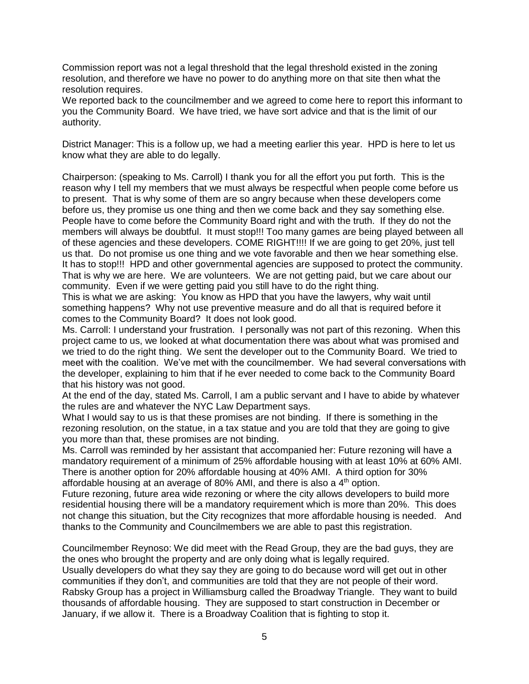Commission report was not a legal threshold that the legal threshold existed in the zoning resolution, and therefore we have no power to do anything more on that site then what the resolution requires.

We reported back to the councilmember and we agreed to come here to report this informant to you the Community Board. We have tried, we have sort advice and that is the limit of our authority.

District Manager: This is a follow up, we had a meeting earlier this year. HPD is here to let us know what they are able to do legally.

Chairperson: (speaking to Ms. Carroll) I thank you for all the effort you put forth. This is the reason why I tell my members that we must always be respectful when people come before us to present. That is why some of them are so angry because when these developers come before us, they promise us one thing and then we come back and they say something else. People have to come before the Community Board right and with the truth. If they do not the members will always be doubtful. It must stop!!! Too many games are being played between all of these agencies and these developers. COME RIGHT!!!! If we are going to get 20%, just tell us that. Do not promise us one thing and we vote favorable and then we hear something else. It has to stop!!! HPD and other governmental agencies are supposed to protect the community. That is why we are here. We are volunteers. We are not getting paid, but we care about our community. Even if we were getting paid you still have to do the right thing.

This is what we are asking: You know as HPD that you have the lawyers, why wait until something happens? Why not use preventive measure and do all that is required before it comes to the Community Board? It does not look good.

Ms. Carroll: I understand your frustration. I personally was not part of this rezoning. When this project came to us, we looked at what documentation there was about what was promised and we tried to do the right thing. We sent the developer out to the Community Board. We tried to meet with the coalition. We've met with the councilmember. We had several conversations with the developer, explaining to him that if he ever needed to come back to the Community Board that his history was not good.

At the end of the day, stated Ms. Carroll, I am a public servant and I have to abide by whatever the rules are and whatever the NYC Law Department says.

What I would say to us is that these promises are not binding. If there is something in the rezoning resolution, on the statue, in a tax statue and you are told that they are going to give you more than that, these promises are not binding.

Ms. Carroll was reminded by her assistant that accompanied her: Future rezoning will have a mandatory requirement of a minimum of 25% affordable housing with at least 10% at 60% AMI. There is another option for 20% affordable housing at 40% AMI. A third option for 30% affordable housing at an average of 80% AMI, and there is also a  $4<sup>th</sup>$  option.

Future rezoning, future area wide rezoning or where the city allows developers to build more residential housing there will be a mandatory requirement which is more than 20%. This does not change this situation, but the City recognizes that more affordable housing is needed. And thanks to the Community and Councilmembers we are able to past this registration.

Councilmember Reynoso: We did meet with the Read Group, they are the bad guys, they are the ones who brought the property and are only doing what is legally required. Usually developers do what they say they are going to do because word will get out in other communities if they don't, and communities are told that they are not people of their word. Rabsky Group has a project in Williamsburg called the Broadway Triangle. They want to build thousands of affordable housing. They are supposed to start construction in December or January, if we allow it. There is a Broadway Coalition that is fighting to stop it.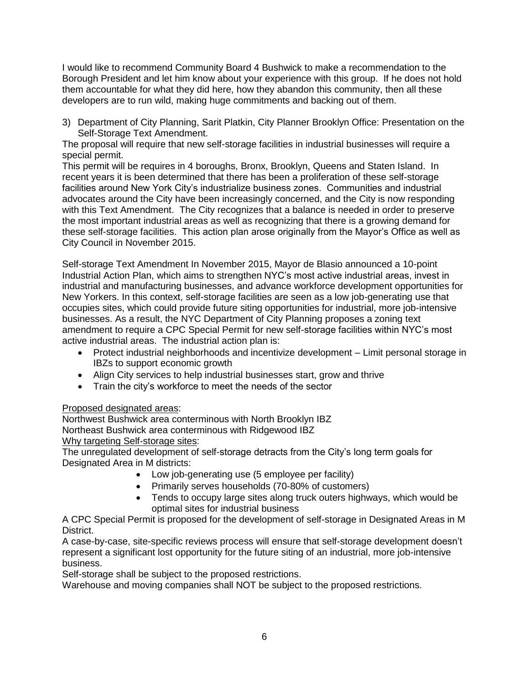I would like to recommend Community Board 4 Bushwick to make a recommendation to the Borough President and let him know about your experience with this group. If he does not hold them accountable for what they did here, how they abandon this community, then all these developers are to run wild, making huge commitments and backing out of them.

3) Department of City Planning, Sarit Platkin, City Planner Brooklyn Office: Presentation on the Self-Storage Text Amendment.

The proposal will require that new self-storage facilities in industrial businesses will require a special permit.

This permit will be requires in 4 boroughs, Bronx, Brooklyn, Queens and Staten Island. In recent years it is been determined that there has been a proliferation of these self-storage facilities around New York City's industrialize business zones. Communities and industrial advocates around the City have been increasingly concerned, and the City is now responding with this Text Amendment. The City recognizes that a balance is needed in order to preserve the most important industrial areas as well as recognizing that there is a growing demand for these self-storage facilities. This action plan arose originally from the Mayor's Office as well as City Council in November 2015.

Self-storage Text Amendment In November 2015, Mayor de Blasio announced a 10-point Industrial Action Plan, which aims to strengthen NYC's most active industrial areas, invest in industrial and manufacturing businesses, and advance workforce development opportunities for New Yorkers. In this context, self-storage facilities are seen as a low job-generating use that occupies sites, which could provide future siting opportunities for industrial, more job-intensive businesses. As a result, the NYC Department of City Planning proposes a zoning text amendment to require a CPC Special Permit for new self-storage facilities within NYC's most active industrial areas. The industrial action plan is:

- Protect industrial neighborhoods and incentivize development Limit personal storage in IBZs to support economic growth
- Align City services to help industrial businesses start, grow and thrive
- Train the city's workforce to meet the needs of the sector

## Proposed designated areas:

Northwest Bushwick area conterminous with North Brooklyn IBZ Northeast Bushwick area conterminous with Ridgewood IBZ Why targeting Self-storage sites:

The unregulated development of self-storage detracts from the City's long term goals for Designated Area in M districts:

- Low job-generating use (5 employee per facility)
- Primarily serves households (70-80% of customers)
- Tends to occupy large sites along truck outers highways, which would be optimal sites for industrial business

A CPC Special Permit is proposed for the development of self-storage in Designated Areas in M District.

A case-by-case, site-specific reviews process will ensure that self-storage development doesn't represent a significant lost opportunity for the future siting of an industrial, more job-intensive business.

Self-storage shall be subject to the proposed restrictions.

Warehouse and moving companies shall NOT be subject to the proposed restrictions.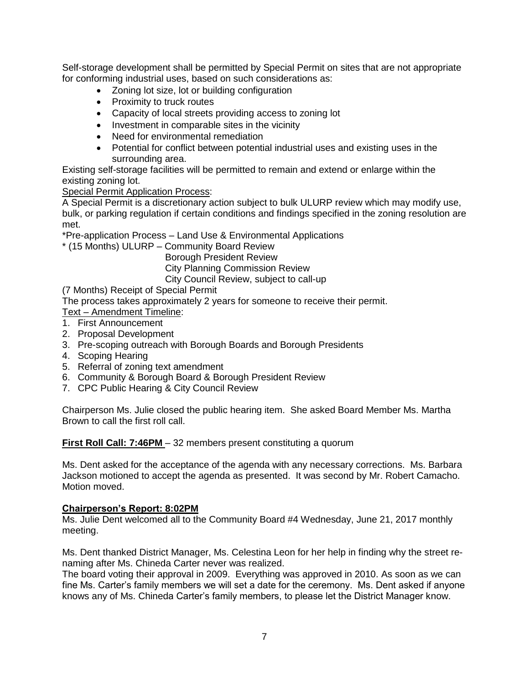Self-storage development shall be permitted by Special Permit on sites that are not appropriate for conforming industrial uses, based on such considerations as:

- Zoning lot size, lot or building configuration
- Proximity to truck routes
- Capacity of local streets providing access to zoning lot
- Investment in comparable sites in the vicinity
- Need for environmental remediation
- Potential for conflict between potential industrial uses and existing uses in the surrounding area.

Existing self-storage facilities will be permitted to remain and extend or enlarge within the existing zoning lot.

**Special Permit Application Process:** 

A Special Permit is a discretionary action subject to bulk ULURP review which may modify use, bulk, or parking regulation if certain conditions and findings specified in the zoning resolution are met.

\*Pre-application Process – Land Use & Environmental Applications

\* (15 Months) ULURP – Community Board Review

 Borough President Review City Planning Commission Review City Council Review, subject to call-up

(7 Months) Receipt of Special Permit

The process takes approximately 2 years for someone to receive their permit.

- Text Amendment Timeline:
- 1. First Announcement
- 2. Proposal Development
- 3. Pre-scoping outreach with Borough Boards and Borough Presidents
- 4. Scoping Hearing
- 5. Referral of zoning text amendment
- 6. Community & Borough Board & Borough President Review
- 7. CPC Public Hearing & City Council Review

Chairperson Ms. Julie closed the public hearing item. She asked Board Member Ms. Martha Brown to call the first roll call.

**First Roll Call: 7:46PM** – 32 members present constituting a quorum

Ms. Dent asked for the acceptance of the agenda with any necessary corrections. Ms. Barbara Jackson motioned to accept the agenda as presented. It was second by Mr. Robert Camacho. Motion moved.

## **Chairperson's Report: 8:02PM**

Ms. Julie Dent welcomed all to the Community Board #4 Wednesday, June 21, 2017 monthly meeting.

Ms. Dent thanked District Manager, Ms. Celestina Leon for her help in finding why the street renaming after Ms. Chineda Carter never was realized.

The board voting their approval in 2009. Everything was approved in 2010. As soon as we can fine Ms. Carter's family members we will set a date for the ceremony. Ms. Dent asked if anyone knows any of Ms. Chineda Carter's family members, to please let the District Manager know.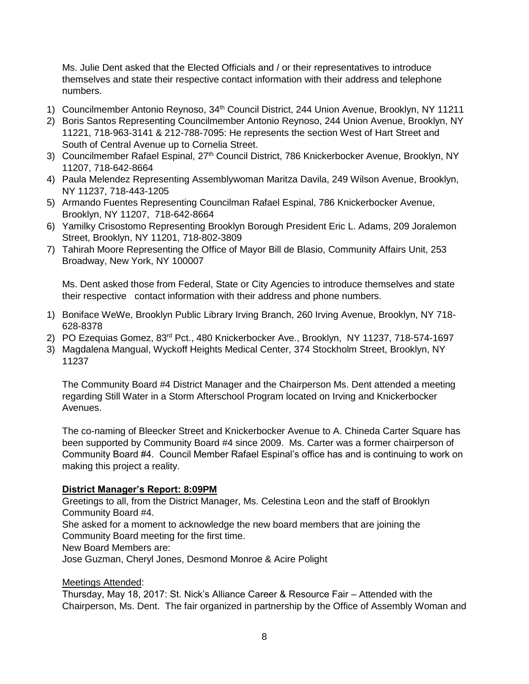Ms. Julie Dent asked that the Elected Officials and / or their representatives to introduce themselves and state their respective contact information with their address and telephone numbers.

- 1) Councilmember Antonio Reynoso, 34<sup>th</sup> Council District, 244 Union Avenue, Brooklyn, NY 11211
- 2) Boris Santos Representing Councilmember Antonio Reynoso, 244 Union Avenue, Brooklyn, NY 11221, 718-963-3141 & 212-788-7095: He represents the section West of Hart Street and South of Central Avenue up to Cornelia Street.
- 3) Councilmember Rafael Espinal, 27<sup>th</sup> Council District, 786 Knickerbocker Avenue, Brooklyn, NY 11207, 718-642-8664
- 4) Paula Melendez Representing Assemblywoman Maritza Davila, 249 Wilson Avenue, Brooklyn, NY 11237, 718-443-1205
- 5) Armando Fuentes Representing Councilman Rafael Espinal, 786 Knickerbocker Avenue, Brooklyn, NY 11207, 718-642-8664
- 6) Yamilky Crisostomo Representing Brooklyn Borough President Eric L. Adams, 209 Joralemon Street, Brooklyn, NY 11201, 718-802-3809
- 7) Tahirah Moore Representing the Office of Mayor Bill de Blasio, Community Affairs Unit, 253 Broadway, New York, NY 100007

Ms. Dent asked those from Federal, State or City Agencies to introduce themselves and state their respective contact information with their address and phone numbers.

- 1) Boniface WeWe, Brooklyn Public Library Irving Branch, 260 Irving Avenue, Brooklyn, NY 718- 628-8378
- 2) PO Ezequias Gomez, 83<sup>rd</sup> Pct., 480 Knickerbocker Ave., Brooklyn, NY 11237, 718-574-1697
- 3) Magdalena Mangual, Wyckoff Heights Medical Center, 374 Stockholm Street, Brooklyn, NY 11237

The Community Board #4 District Manager and the Chairperson Ms. Dent attended a meeting regarding Still Water in a Storm Afterschool Program located on Irving and Knickerbocker Avenues.

The co-naming of Bleecker Street and Knickerbocker Avenue to A. Chineda Carter Square has been supported by Community Board #4 since 2009. Ms. Carter was a former chairperson of Community Board #4. Council Member Rafael Espinal's office has and is continuing to work on making this project a reality.

## **District Manager's Report: 8:09PM**

Greetings to all, from the District Manager, Ms. Celestina Leon and the staff of Brooklyn Community Board #4.

She asked for a moment to acknowledge the new board members that are joining the Community Board meeting for the first time.

New Board Members are:

Jose Guzman, Cheryl Jones, Desmond Monroe & Acire Polight

## Meetings Attended:

Thursday, May 18, 2017: St. Nick's Alliance Career & Resource Fair – Attended with the Chairperson, Ms. Dent. The fair organized in partnership by the Office of Assembly Woman and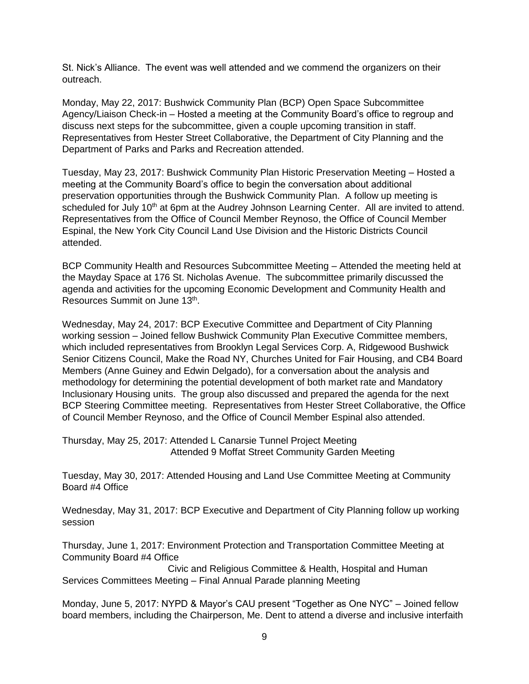St. Nick's Alliance. The event was well attended and we commend the organizers on their outreach.

Monday, May 22, 2017: Bushwick Community Plan (BCP) Open Space Subcommittee Agency/Liaison Check-in – Hosted a meeting at the Community Board's office to regroup and discuss next steps for the subcommittee, given a couple upcoming transition in staff. Representatives from Hester Street Collaborative, the Department of City Planning and the Department of Parks and Parks and Recreation attended.

Tuesday, May 23, 2017: Bushwick Community Plan Historic Preservation Meeting – Hosted a meeting at the Community Board's office to begin the conversation about additional preservation opportunities through the Bushwick Community Plan. A follow up meeting is scheduled for July 10<sup>th</sup> at 6pm at the Audrey Johnson Learning Center. All are invited to attend. Representatives from the Office of Council Member Reynoso, the Office of Council Member Espinal, the New York City Council Land Use Division and the Historic Districts Council attended.

BCP Community Health and Resources Subcommittee Meeting – Attended the meeting held at the Mayday Space at 176 St. Nicholas Avenue. The subcommittee primarily discussed the agenda and activities for the upcoming Economic Development and Community Health and Resources Summit on June 13<sup>th</sup>.

Wednesday, May 24, 2017: BCP Executive Committee and Department of City Planning working session – Joined fellow Bushwick Community Plan Executive Committee members, which included representatives from Brooklyn Legal Services Corp. A, Ridgewood Bushwick Senior Citizens Council, Make the Road NY, Churches United for Fair Housing, and CB4 Board Members (Anne Guiney and Edwin Delgado), for a conversation about the analysis and methodology for determining the potential development of both market rate and Mandatory Inclusionary Housing units. The group also discussed and prepared the agenda for the next BCP Steering Committee meeting. Representatives from Hester Street Collaborative, the Office of Council Member Reynoso, and the Office of Council Member Espinal also attended.

Thursday, May 25, 2017: Attended L Canarsie Tunnel Project Meeting Attended 9 Moffat Street Community Garden Meeting

Tuesday, May 30, 2017: Attended Housing and Land Use Committee Meeting at Community Board #4 Office

Wednesday, May 31, 2017: BCP Executive and Department of City Planning follow up working session

Thursday, June 1, 2017: Environment Protection and Transportation Committee Meeting at Community Board #4 Office

 Civic and Religious Committee & Health, Hospital and Human Services Committees Meeting – Final Annual Parade planning Meeting

Monday, June 5, 2017: NYPD & Mayor's CAU present "Together as One NYC" – Joined fellow board members, including the Chairperson, Me. Dent to attend a diverse and inclusive interfaith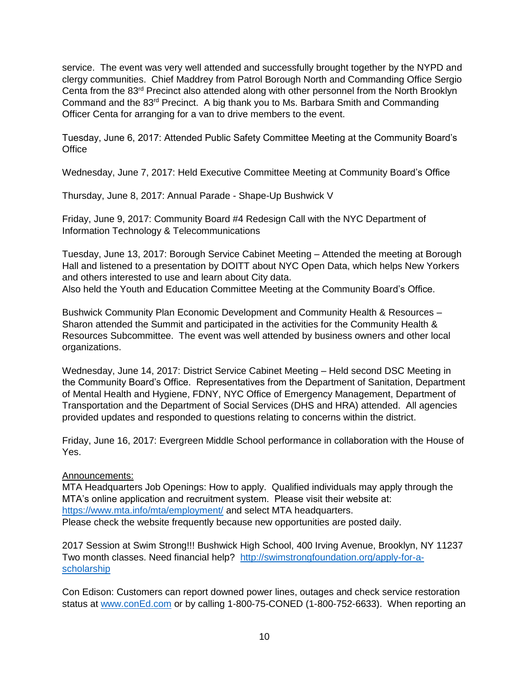service. The event was very well attended and successfully brought together by the NYPD and clergy communities. Chief Maddrey from Patrol Borough North and Commanding Office Sergio Centa from the 83<sup>rd</sup> Precinct also attended along with other personnel from the North Brooklyn Command and the 83rd Precinct. A big thank you to Ms. Barbara Smith and Commanding Officer Centa for arranging for a van to drive members to the event.

Tuesday, June 6, 2017: Attended Public Safety Committee Meeting at the Community Board's **Office** 

Wednesday, June 7, 2017: Held Executive Committee Meeting at Community Board's Office

Thursday, June 8, 2017: Annual Parade - Shape-Up Bushwick V

Friday, June 9, 2017: Community Board #4 Redesign Call with the NYC Department of Information Technology & Telecommunications

Tuesday, June 13, 2017: Borough Service Cabinet Meeting – Attended the meeting at Borough Hall and listened to a presentation by DOITT about NYC Open Data, which helps New Yorkers and others interested to use and learn about City data. Also held the Youth and Education Committee Meeting at the Community Board's Office.

Bushwick Community Plan Economic Development and Community Health & Resources – Sharon attended the Summit and participated in the activities for the Community Health & Resources Subcommittee. The event was well attended by business owners and other local organizations.

Wednesday, June 14, 2017: District Service Cabinet Meeting – Held second DSC Meeting in the Community Board's Office. Representatives from the Department of Sanitation, Department of Mental Health and Hygiene, FDNY, NYC Office of Emergency Management, Department of Transportation and the Department of Social Services (DHS and HRA) attended. All agencies provided updates and responded to questions relating to concerns within the district.

Friday, June 16, 2017: Evergreen Middle School performance in collaboration with the House of Yes.

## Announcements:

MTA Headquarters Job Openings: How to apply. Qualified individuals may apply through the MTA's online application and recruitment system. Please visit their website at: <https://www.mta.info/mta/employment/> and select MTA headquarters. Please check the website frequently because new opportunities are posted daily.

2017 Session at Swim Strong!!! Bushwick High School, 400 Irving Avenue, Brooklyn, NY 11237 Two month classes. Need financial help? [http://swimstrongfoundation.org/apply-for-a](http://swimstrongfoundation.org/apply-for-a-scholarship)[scholarship](http://swimstrongfoundation.org/apply-for-a-scholarship) 

Con Edison: Customers can report downed power lines, outages and check service restoration status at [www.conEd.com](http://www.coned.com/) or by calling 1-800-75-CONED (1-800-752-6633). When reporting an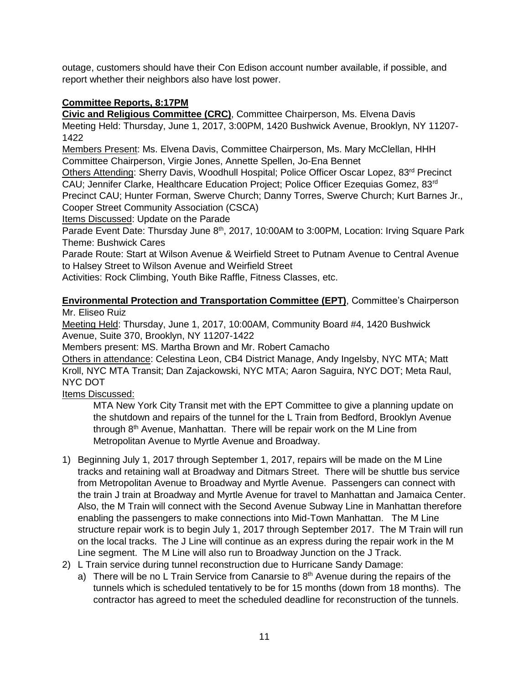outage, customers should have their Con Edison account number available, if possible, and report whether their neighbors also have lost power.

# **Committee Reports, 8:17PM**

**Civic and Religious Committee (CRC)**, Committee Chairperson, Ms. Elvena Davis Meeting Held: Thursday, June 1, 2017, 3:00PM, 1420 Bushwick Avenue, Brooklyn, NY 11207- 1422

Members Present: Ms. Elvena Davis, Committee Chairperson, Ms. Mary McClellan, HHH Committee Chairperson, Virgie Jones, Annette Spellen, Jo-Ena Bennet

Others Attending: Sherry Davis, Woodhull Hospital; Police Officer Oscar Lopez, 83rd Precinct CAU; Jennifer Clarke, Healthcare Education Project; Police Officer Ezequias Gomez, 83rd Precinct CAU; Hunter Forman, Swerve Church; Danny Torres, Swerve Church; Kurt Barnes Jr.,

Cooper Street Community Association (CSCA)

Items Discussed: Update on the Parade

Parade Event Date: Thursday June 8<sup>th</sup>, 2017, 10:00AM to 3:00PM, Location: Irving Square Park Theme: Bushwick Cares

Parade Route: Start at Wilson Avenue & Weirfield Street to Putnam Avenue to Central Avenue to Halsey Street to Wilson Avenue and Weirfield Street

Activities: Rock Climbing, Youth Bike Raffle, Fitness Classes, etc.

**Environmental Protection and Transportation Committee (EPT)**, Committee's Chairperson Mr. Eliseo Ruiz

Meeting Held: Thursday, June 1, 2017, 10:00AM, Community Board #4, 1420 Bushwick Avenue, Suite 370, Brooklyn, NY 11207-1422

Members present: MS. Martha Brown and Mr. Robert Camacho

Others in attendance: Celestina Leon, CB4 District Manage, Andy Ingelsby, NYC MTA; Matt Kroll, NYC MTA Transit; Dan Zajackowski, NYC MTA; Aaron Saguira, NYC DOT; Meta Raul, NYC DOT

Items Discussed:

MTA New York City Transit met with the EPT Committee to give a planning update on the shutdown and repairs of the tunnel for the L Train from Bedford, Brooklyn Avenue through  $8<sup>th</sup>$  Avenue, Manhattan. There will be repair work on the M Line from Metropolitan Avenue to Myrtle Avenue and Broadway.

- 1) Beginning July 1, 2017 through September 1, 2017, repairs will be made on the M Line tracks and retaining wall at Broadway and Ditmars Street. There will be shuttle bus service from Metropolitan Avenue to Broadway and Myrtle Avenue. Passengers can connect with the train J train at Broadway and Myrtle Avenue for travel to Manhattan and Jamaica Center. Also, the M Train will connect with the Second Avenue Subway Line in Manhattan therefore enabling the passengers to make connections into Mid-Town Manhattan. The M Line structure repair work is to begin July 1, 2017 through September 2017. The M Train will run on the local tracks. The J Line will continue as an express during the repair work in the M Line segment. The M Line will also run to Broadway Junction on the J Track.
- 2) L Train service during tunnel reconstruction due to Hurricane Sandy Damage:
	- a) There will be no L Train Service from Canarsie to  $8<sup>th</sup>$  Avenue during the repairs of the tunnels which is scheduled tentatively to be for 15 months (down from 18 months). The contractor has agreed to meet the scheduled deadline for reconstruction of the tunnels.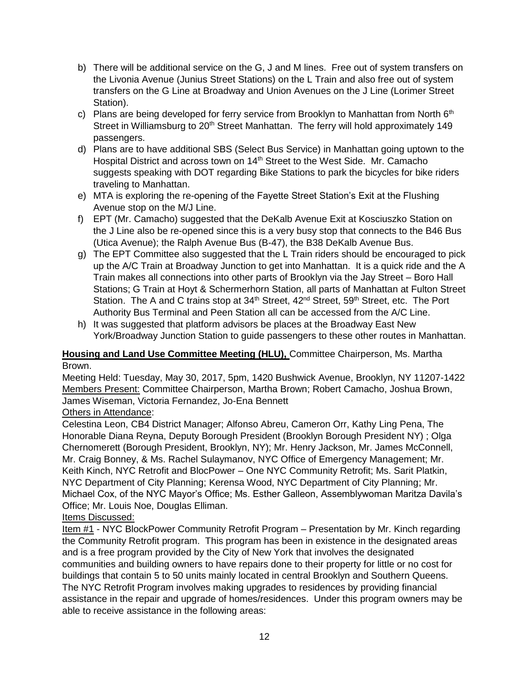- b) There will be additional service on the G, J and M lines. Free out of system transfers on the Livonia Avenue (Junius Street Stations) on the L Train and also free out of system transfers on the G Line at Broadway and Union Avenues on the J Line (Lorimer Street Station).
- c) Plans are being developed for ferry service from Brooklyn to Manhattan from North  $6<sup>th</sup>$ Street in Williamsburg to 20<sup>th</sup> Street Manhattan. The ferry will hold approximately 149 passengers.
- d) Plans are to have additional SBS (Select Bus Service) in Manhattan going uptown to the Hospital District and across town on  $14<sup>th</sup>$  Street to the West Side. Mr. Camacho suggests speaking with DOT regarding Bike Stations to park the bicycles for bike riders traveling to Manhattan.
- e) MTA is exploring the re-opening of the Fayette Street Station's Exit at the Flushing Avenue stop on the M/J Line.
- f) EPT (Mr. Camacho) suggested that the DeKalb Avenue Exit at Kosciuszko Station on the J Line also be re-opened since this is a very busy stop that connects to the B46 Bus (Utica Avenue); the Ralph Avenue Bus (B-47), the B38 DeKalb Avenue Bus.
- g) The EPT Committee also suggested that the L Train riders should be encouraged to pick up the A/C Train at Broadway Junction to get into Manhattan. It is a quick ride and the A Train makes all connections into other parts of Brooklyn via the Jay Street – Boro Hall Stations; G Train at Hoyt & Schermerhorn Station, all parts of Manhattan at Fulton Street Station. The A and C trains stop at 34<sup>th</sup> Street, 42<sup>nd</sup> Street, 59<sup>th</sup> Street, etc. The Port Authority Bus Terminal and Peen Station all can be accessed from the A/C Line.
- h) It was suggested that platform advisors be places at the Broadway East New York/Broadway Junction Station to guide passengers to these other routes in Manhattan.

## **Housing and Land Use Committee Meeting (HLU),** Committee Chairperson, Ms. Martha Brown.

Meeting Held: Tuesday, May 30, 2017, 5pm, 1420 Bushwick Avenue, Brooklyn, NY 11207-1422 Members Present: Committee Chairperson, Martha Brown; Robert Camacho, Joshua Brown, James Wiseman, Victoria Fernandez, Jo-Ena Bennett

## **Others in Attendance:**

Celestina Leon, CB4 District Manager; Alfonso Abreu, Cameron Orr, Kathy Ling Pena, The Honorable Diana Reyna, Deputy Borough President (Brooklyn Borough President NY) ; Olga Chernomerett (Borough President, Brooklyn, NY); Mr. Henry Jackson, Mr. James McConnell, Mr. Craig Bonney, & Ms. Rachel Sulaymanov, NYC Office of Emergency Management; Mr. Keith Kinch, NYC Retrofit and BlocPower – One NYC Community Retrofit; Ms. Sarit Platkin, NYC Department of City Planning; Kerensa Wood, NYC Department of City Planning; Mr. Michael Cox, of the NYC Mayor's Office; Ms. Esther Galleon, Assemblywoman Maritza Davila's Office; Mr. Louis Noe, Douglas Elliman.

## Items Discussed:

Item #1 - NYC BlockPower Community Retrofit Program – Presentation by Mr. Kinch regarding the Community Retrofit program. This program has been in existence in the designated areas and is a free program provided by the City of New York that involves the designated communities and building owners to have repairs done to their property for little or no cost for buildings that contain 5 to 50 units mainly located in central Brooklyn and Southern Queens. The NYC Retrofit Program involves making upgrades to residences by providing financial assistance in the repair and upgrade of homes/residences. Under this program owners may be able to receive assistance in the following areas: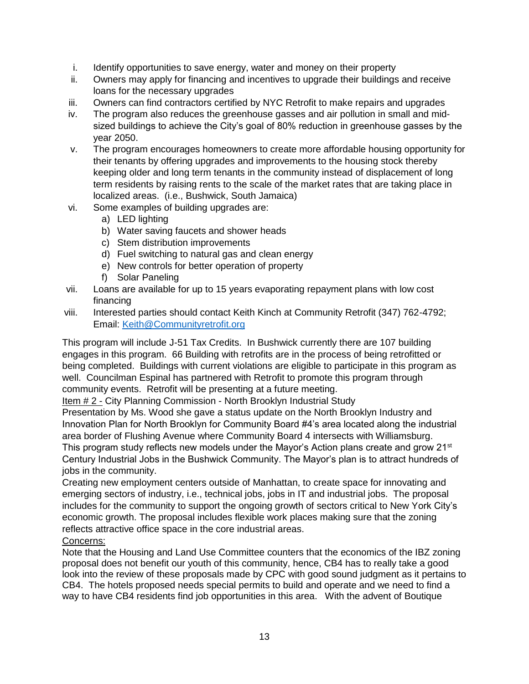- i. Identify opportunities to save energy, water and money on their property
- ii. Owners may apply for financing and incentives to upgrade their buildings and receive loans for the necessary upgrades
- iii. Owners can find contractors certified by NYC Retrofit to make repairs and upgrades
- iv. The program also reduces the greenhouse gasses and air pollution in small and midsized buildings to achieve the City's goal of 80% reduction in greenhouse gasses by the year 2050.
- v. The program encourages homeowners to create more affordable housing opportunity for their tenants by offering upgrades and improvements to the housing stock thereby keeping older and long term tenants in the community instead of displacement of long term residents by raising rents to the scale of the market rates that are taking place in localized areas. (i.e., Bushwick, South Jamaica)
- vi. Some examples of building upgrades are:
	- a) LED lighting
	- b) Water saving faucets and shower heads
	- c) Stem distribution improvements
	- d) Fuel switching to natural gas and clean energy
	- e) New controls for better operation of property
	- f) Solar Paneling
- vii. Loans are available for up to 15 years evaporating repayment plans with low cost financing
- viii. Interested parties should contact Keith Kinch at Community Retrofit (347) 762-4792; Email: [Keith@Communityretrofit.org](mailto:Keith@Communityretrofit.org)

This program will include J-51 Tax Credits. In Bushwick currently there are 107 building engages in this program. 66 Building with retrofits are in the process of being retrofitted or being completed. Buildings with current violations are eligible to participate in this program as well. Councilman Espinal has partnered with Retrofit to promote this program through community events. Retrofit will be presenting at a future meeting.

Item # 2 - City Planning Commission - North Brooklyn Industrial Study

Presentation by Ms. Wood she gave a status update on the North Brooklyn Industry and Innovation Plan for North Brooklyn for Community Board #4's area located along the industrial area border of Flushing Avenue where Community Board 4 intersects with Williamsburg. This program study reflects new models under the Mayor's Action plans create and grow 21<sup>st</sup> Century Industrial Jobs in the Bushwick Community. The Mayor's plan is to attract hundreds of jobs in the community.

Creating new employment centers outside of Manhattan, to create space for innovating and emerging sectors of industry, i.e., technical jobs, jobs in IT and industrial jobs. The proposal includes for the community to support the ongoing growth of sectors critical to New York City's economic growth. The proposal includes flexible work places making sure that the zoning reflects attractive office space in the core industrial areas.

## Concerns:

Note that the Housing and Land Use Committee counters that the economics of the IBZ zoning proposal does not benefit our youth of this community, hence, CB4 has to really take a good look into the review of these proposals made by CPC with good sound judgment as it pertains to CB4. The hotels proposed needs special permits to build and operate and we need to find a way to have CB4 residents find job opportunities in this area. With the advent of Boutique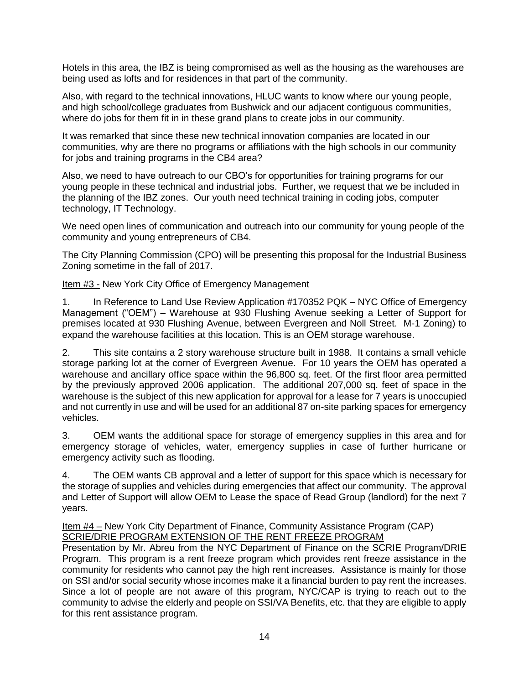Hotels in this area, the IBZ is being compromised as well as the housing as the warehouses are being used as lofts and for residences in that part of the community.

Also, with regard to the technical innovations, HLUC wants to know where our young people, and high school/college graduates from Bushwick and our adjacent contiguous communities, where do jobs for them fit in in these grand plans to create jobs in our community.

It was remarked that since these new technical innovation companies are located in our communities, why are there no programs or affiliations with the high schools in our community for jobs and training programs in the CB4 area?

Also, we need to have outreach to our CBO's for opportunities for training programs for our young people in these technical and industrial jobs. Further, we request that we be included in the planning of the IBZ zones. Our youth need technical training in coding jobs, computer technology, IT Technology.

We need open lines of communication and outreach into our community for young people of the community and young entrepreneurs of CB4.

The City Planning Commission (CPO) will be presenting this proposal for the Industrial Business Zoning sometime in the fall of 2017.

Item #3 - New York City Office of Emergency Management

1. In Reference to Land Use Review Application #170352 PQK – NYC Office of Emergency Management ("OEM") – Warehouse at 930 Flushing Avenue seeking a Letter of Support for premises located at 930 Flushing Avenue, between Evergreen and Noll Street. M-1 Zoning) to expand the warehouse facilities at this location. This is an OEM storage warehouse.

2. This site contains a 2 story warehouse structure built in 1988. It contains a small vehicle storage parking lot at the corner of Evergreen Avenue. For 10 years the OEM has operated a warehouse and ancillary office space within the 96,800 sq. feet. Of the first floor area permitted by the previously approved 2006 application. The additional 207,000 sq. feet of space in the warehouse is the subject of this new application for approval for a lease for 7 years is unoccupied and not currently in use and will be used for an additional 87 on-site parking spaces for emergency vehicles.

3. OEM wants the additional space for storage of emergency supplies in this area and for emergency storage of vehicles, water, emergency supplies in case of further hurricane or emergency activity such as flooding.

4. The OEM wants CB approval and a letter of support for this space which is necessary for the storage of supplies and vehicles during emergencies that affect our community. The approval and Letter of Support will allow OEM to Lease the space of Read Group (landlord) for the next 7 years.

Item #4 – New York City Department of Finance, Community Assistance Program (CAP) SCRIE/DRIE PROGRAM EXTENSION OF THE RENT FREEZE PROGRAM

Presentation by Mr. Abreu from the NYC Department of Finance on the SCRIE Program/DRIE Program. This program is a rent freeze program which provides rent freeze assistance in the community for residents who cannot pay the high rent increases. Assistance is mainly for those on SSI and/or social security whose incomes make it a financial burden to pay rent the increases. Since a lot of people are not aware of this program, NYC/CAP is trying to reach out to the community to advise the elderly and people on SSI/VA Benefits, etc. that they are eligible to apply for this rent assistance program.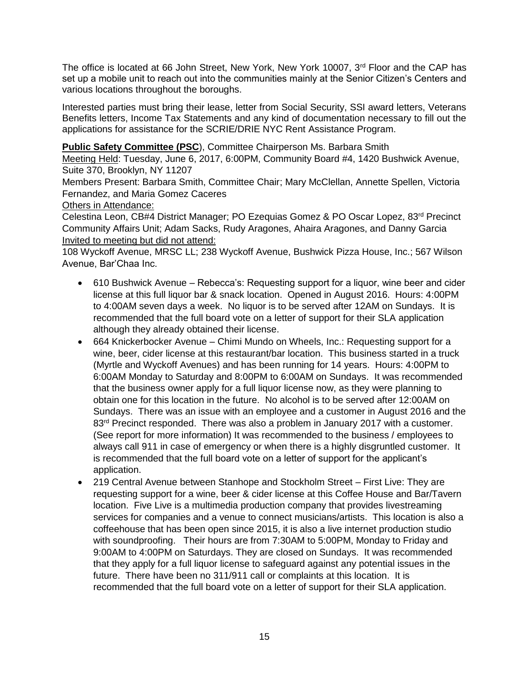The office is located at 66 John Street, New York, New York 10007, 3<sup>rd</sup> Floor and the CAP has set up a mobile unit to reach out into the communities mainly at the Senior Citizen's Centers and various locations throughout the boroughs.

Interested parties must bring their lease, letter from Social Security, SSI award letters, Veterans Benefits letters, Income Tax Statements and any kind of documentation necessary to fill out the applications for assistance for the SCRIE/DRIE NYC Rent Assistance Program.

## **Public Safety Committee (PSC), Committee Chairperson Ms. Barbara Smith**

Meeting Held: Tuesday, June 6, 2017, 6:00PM, Community Board #4, 1420 Bushwick Avenue, Suite 370, Brooklyn, NY 11207

Members Present: Barbara Smith, Committee Chair; Mary McClellan, Annette Spellen, Victoria Fernandez, and Maria Gomez Caceres

## Others in Attendance:

Celestina Leon, CB#4 District Manager; PO Ezequias Gomez & PO Oscar Lopez, 83rd Precinct Community Affairs Unit; Adam Sacks, Rudy Aragones, Ahaira Aragones, and Danny Garcia Invited to meeting but did not attend:

108 Wyckoff Avenue, MRSC LL; 238 Wyckoff Avenue, Bushwick Pizza House, Inc.; 567 Wilson Avenue, Bar'Chaa Inc.

- 610 Bushwick Avenue Rebecca's: Requesting support for a liquor, wine beer and cider license at this full liquor bar & snack location. Opened in August 2016. Hours: 4:00PM to 4:00AM seven days a week. No liquor is to be served after 12AM on Sundays. It is recommended that the full board vote on a letter of support for their SLA application although they already obtained their license.
- 664 Knickerbocker Avenue Chimi Mundo on Wheels, Inc.: Requesting support for a wine, beer, cider license at this restaurant/bar location. This business started in a truck (Myrtle and Wyckoff Avenues) and has been running for 14 years. Hours: 4:00PM to 6:00AM Monday to Saturday and 8:00PM to 6:00AM on Sundays. It was recommended that the business owner apply for a full liquor license now, as they were planning to obtain one for this location in the future. No alcohol is to be served after 12:00AM on Sundays. There was an issue with an employee and a customer in August 2016 and the 83<sup>rd</sup> Precinct responded. There was also a problem in January 2017 with a customer. (See report for more information) It was recommended to the business / employees to always call 911 in case of emergency or when there is a highly disgruntled customer. It is recommended that the full board vote on a letter of support for the applicant's application.
- 219 Central Avenue between Stanhope and Stockholm Street First Live: They are requesting support for a wine, beer & cider license at this Coffee House and Bar/Tavern location. Five Live is a multimedia production company that provides livestreaming services for companies and a venue to connect musicians/artists. This location is also a coffeehouse that has been open since 2015, it is also a live internet production studio with soundproofing. Their hours are from 7:30AM to 5:00PM, Monday to Friday and 9:00AM to 4:00PM on Saturdays. They are closed on Sundays. It was recommended that they apply for a full liquor license to safeguard against any potential issues in the future. There have been no 311/911 call or complaints at this location. It is recommended that the full board vote on a letter of support for their SLA application.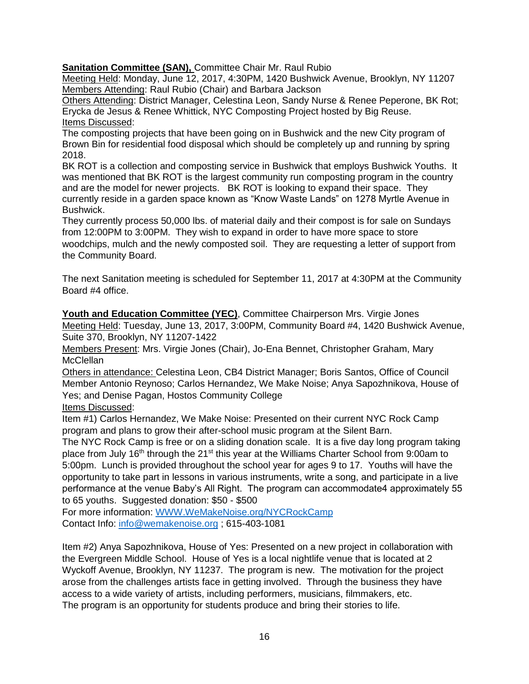**Sanitation Committee (SAN),** Committee Chair Mr. Raul Rubio

Meeting Held: Monday, June 12, 2017, 4:30PM, 1420 Bushwick Avenue, Brooklyn, NY 11207 Members Attending: Raul Rubio (Chair) and Barbara Jackson

Others Attending: District Manager, Celestina Leon, Sandy Nurse & Renee Peperone, BK Rot; Erycka de Jesus & Renee Whittick, NYC Composting Project hosted by Big Reuse. Items Discussed:

The composting projects that have been going on in Bushwick and the new City program of Brown Bin for residential food disposal which should be completely up and running by spring 2018.

BK ROT is a collection and composting service in Bushwick that employs Bushwick Youths. It was mentioned that BK ROT is the largest community run composting program in the country and are the model for newer projects. BK ROT is looking to expand their space. They currently reside in a garden space known as "Know Waste Lands" on 1278 Myrtle Avenue in Bushwick.

They currently process 50,000 lbs. of material daily and their compost is for sale on Sundays from 12:00PM to 3:00PM. They wish to expand in order to have more space to store woodchips, mulch and the newly composted soil. They are requesting a letter of support from the Community Board.

The next Sanitation meeting is scheduled for September 11, 2017 at 4:30PM at the Community Board #4 office.

**Youth and Education Committee (YEC)**, Committee Chairperson Mrs. Virgie Jones Meeting Held: Tuesday, June 13, 2017, 3:00PM, Community Board #4, 1420 Bushwick Avenue, Suite 370, Brooklyn, NY 11207-1422

Members Present: Mrs. Virgie Jones (Chair), Jo-Ena Bennet, Christopher Graham, Mary **McClellan** 

Others in attendance: Celestina Leon, CB4 District Manager; Boris Santos, Office of Council Member Antonio Reynoso; Carlos Hernandez, We Make Noise; Anya Sapozhnikova, House of Yes; and Denise Pagan, Hostos Community College

Items Discussed:

Item #1) Carlos Hernandez, We Make Noise: Presented on their current NYC Rock Camp program and plans to grow their after-school music program at the Silent Barn.

The NYC Rock Camp is free or on a sliding donation scale. It is a five day long program taking place from July 16<sup>th</sup> through the 21<sup>st</sup> this year at the Williams Charter School from 9:00am to 5:00pm. Lunch is provided throughout the school year for ages 9 to 17. Youths will have the opportunity to take part in lessons in various instruments, write a song, and participate in a live performance at the venue Baby's All Right. The program can accommodate4 approximately 55 to 65 youths. Suggested donation: \$50 - \$500

For more information: [WWW.WeMakeNoise.org/NYCRockCamp](http://www.wemakenoise.org/NYCRockCamp) Contact Info: [info@wemakenoise.org](mailto:info@wemakenoise.org) ; 615-403-1081

Item #2) Anya Sapozhnikova, House of Yes: Presented on a new project in collaboration with the Evergreen Middle School. House of Yes is a local nightlife venue that is located at 2 Wyckoff Avenue, Brooklyn, NY 11237. The program is new. The motivation for the project arose from the challenges artists face in getting involved. Through the business they have access to a wide variety of artists, including performers, musicians, filmmakers, etc. The program is an opportunity for students produce and bring their stories to life.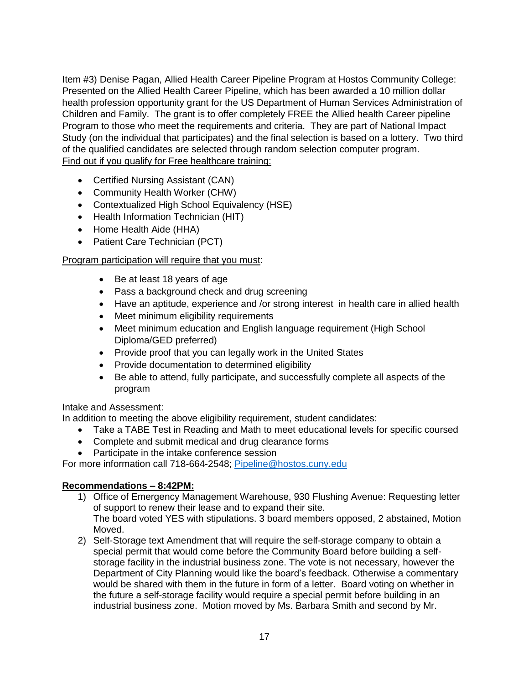Item #3) Denise Pagan, Allied Health Career Pipeline Program at Hostos Community College: Presented on the Allied Health Career Pipeline, which has been awarded a 10 million dollar health profession opportunity grant for the US Department of Human Services Administration of Children and Family. The grant is to offer completely FREE the Allied health Career pipeline Program to those who meet the requirements and criteria. They are part of National Impact Study (on the individual that participates) and the final selection is based on a lottery. Two third of the qualified candidates are selected through random selection computer program. Find out if you qualify for Free healthcare training:

- Certified Nursing Assistant (CAN)
- Community Health Worker (CHW)
- Contextualized High School Equivalency (HSE)
- Health Information Technician (HIT)
- Home Health Aide (HHA)
- Patient Care Technician (PCT)

## Program participation will require that you must:

- Be at least 18 years of age
- Pass a background check and drug screening
- Have an aptitude, experience and /or strong interest in health care in allied health
- Meet minimum eligibility requirements
- Meet minimum education and English language requirement (High School Diploma/GED preferred)
- Provide proof that you can legally work in the United States
- Provide documentation to determined eligibility
- Be able to attend, fully participate, and successfully complete all aspects of the program

#### Intake and Assessment:

In addition to meeting the above eligibility requirement, student candidates:

- Take a TABE Test in Reading and Math to meet educational levels for specific coursed
- Complete and submit medical and drug clearance forms
- Participate in the intake conference session

For more information call 718-664-2548; [Pipeline@hostos.cuny.edu](mailto:Pipeline@hostos.cuny.edu)

## **Recommendations – 8:42PM:**

- 1) Office of Emergency Management Warehouse, 930 Flushing Avenue: Requesting letter of support to renew their lease and to expand their site. The board voted YES with stipulations. 3 board members opposed, 2 abstained, Motion Moved.
- 2) Self-Storage text Amendment that will require the self-storage company to obtain a special permit that would come before the Community Board before building a selfstorage facility in the industrial business zone. The vote is not necessary, however the Department of City Planning would like the board's feedback. Otherwise a commentary would be shared with them in the future in form of a letter. Board voting on whether in the future a self-storage facility would require a special permit before building in an industrial business zone. Motion moved by Ms. Barbara Smith and second by Mr.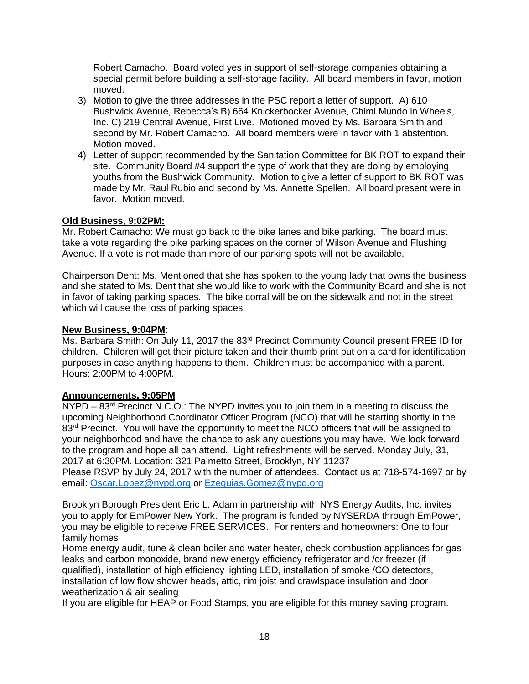Robert Camacho. Board voted yes in support of self-storage companies obtaining a special permit before building a self-storage facility. All board members in favor, motion moved.

- 3) Motion to give the three addresses in the PSC report a letter of support. A) 610 Bushwick Avenue, Rebecca's B) 664 Knickerbocker Avenue, Chimi Mundo in Wheels, Inc. C) 219 Central Avenue, First Live. Motioned moved by Ms. Barbara Smith and second by Mr. Robert Camacho. All board members were in favor with 1 abstention. Motion moved.
- 4) Letter of support recommended by the Sanitation Committee for BK ROT to expand their site. Community Board #4 support the type of work that they are doing by employing youths from the Bushwick Community. Motion to give a letter of support to BK ROT was made by Mr. Raul Rubio and second by Ms. Annette Spellen. All board present were in favor. Motion moved.

## **Old Business, 9:02PM:**

Mr. Robert Camacho: We must go back to the bike lanes and bike parking. The board must take a vote regarding the bike parking spaces on the corner of Wilson Avenue and Flushing Avenue. If a vote is not made than more of our parking spots will not be available.

Chairperson Dent: Ms. Mentioned that she has spoken to the young lady that owns the business and she stated to Ms. Dent that she would like to work with the Community Board and she is not in favor of taking parking spaces. The bike corral will be on the sidewalk and not in the street which will cause the loss of parking spaces.

## **New Business, 9:04PM**:

Ms. Barbara Smith: On July 11, 2017 the 83<sup>rd</sup> Precinct Community Council present FREE ID for children. Children will get their picture taken and their thumb print put on a card for identification purposes in case anything happens to them. Children must be accompanied with a parent. Hours: 2:00PM to 4:00PM.

## **Announcements, 9:05PM**

NYPD – 83<sup>rd</sup> Precinct N.C.O.: The NYPD invites you to join them in a meeting to discuss the upcoming Neighborhood Coordinator Officer Program (NCO) that will be starting shortly in the 83<sup>rd</sup> Precinct. You will have the opportunity to meet the NCO officers that will be assigned to your neighborhood and have the chance to ask any questions you may have. We look forward to the program and hope all can attend. Light refreshments will be served. Monday July, 31, 2017 at 6:30PM. Location: 321 Palmetto Street, Brooklyn, NY 11237 Please RSVP by July 24, 2017 with the number of attendees. Contact us at 718-574-1697 or by

email: [Oscar.Lopez@nypd.org](mailto:Oscar.Lopez@nypd.org) or [Ezequias.Gomez@nypd.org](mailto:Ezequias.Gomez@nypd.org)

Brooklyn Borough President Eric L. Adam in partnership with NYS Energy Audits, Inc. invites you to apply for EmPower New York. The program is funded by NYSERDA through EmPower, you may be eligible to receive FREE SERVICES. For renters and homeowners: One to four family homes

Home energy audit, tune & clean boiler and water heater, check combustion appliances for gas leaks and carbon monoxide, brand new energy efficiency refrigerator and /or freezer (if qualified), installation of high efficiency lighting LED, installation of smoke /CO detectors, installation of low flow shower heads, attic, rim joist and crawlspace insulation and door weatherization & air sealing

If you are eligible for HEAP or Food Stamps, you are eligible for this money saving program.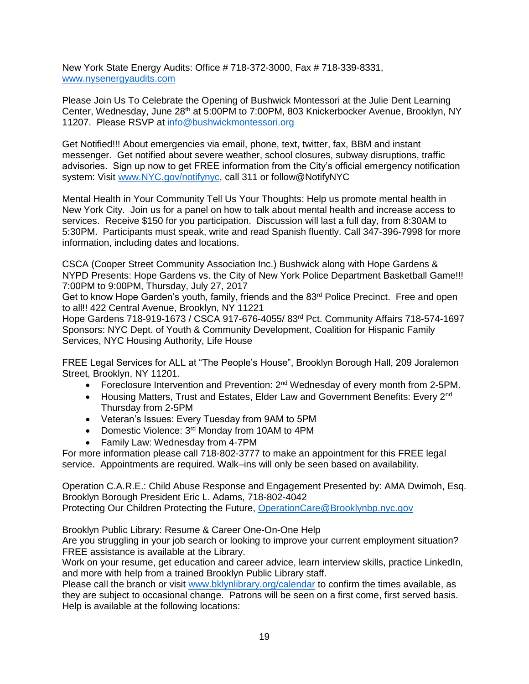New York State Energy Audits: Office # 718-372-3000, Fax # 718-339-8331, [www.nysenergyaudits.com](http://www.nysenergyaudits.com/)

Please Join Us To Celebrate the Opening of Bushwick Montessori at the Julie Dent Learning Center, Wednesday, June 28<sup>th</sup> at 5:00PM to 7:00PM, 803 Knickerbocker Avenue, Brooklyn, NY 11207. Please RSVP at [info@bushwickmontessori.org](mailto:info@bushwickmontessori.org)

Get Notified!!! About emergencies via email, phone, text, twitter, fax, BBM and instant messenger. Get notified about severe weather, school closures, subway disruptions, traffic advisories. Sign up now to get FREE information from the City's official emergency notification system: Visit [www.NYC.gov/notifynyc,](http://www.nyc.gov/notifynyc) call 311 or follow@NotifyNYC

Mental Health in Your Community Tell Us Your Thoughts: Help us promote mental health in New York City. Join us for a panel on how to talk about mental health and increase access to services. Receive \$150 for you participation. Discussion will last a full day, from 8:30AM to 5:30PM. Participants must speak, write and read Spanish fluently. Call 347-396-7998 for more information, including dates and locations.

CSCA (Cooper Street Community Association Inc.) Bushwick along with Hope Gardens & NYPD Presents: Hope Gardens vs. the City of New York Police Department Basketball Game!!! 7:00PM to 9:00PM, Thursday, July 27, 2017

Get to know Hope Garden's youth, family, friends and the 83<sup>rd</sup> Police Precinct. Free and open to all!! 422 Central Avenue, Brooklyn, NY 11221

Hope Gardens 718-919-1673 / CSCA 917-676-4055/ 83rd Pct. Community Affairs 718-574-1697 Sponsors: NYC Dept. of Youth & Community Development, Coalition for Hispanic Family Services, NYC Housing Authority, Life House

FREE Legal Services for ALL at "The People's House", Brooklyn Borough Hall, 209 Joralemon Street, Brooklyn, NY 11201.

- Foreclosure Intervention and Prevention: 2<sup>nd</sup> Wednesday of every month from 2-5PM.
- Housing Matters, Trust and Estates, Elder Law and Government Benefits: Every 2<sup>nd</sup> Thursday from 2-5PM
- Veteran's Issues: Every Tuesday from 9AM to 5PM
- Domestic Violence: 3<sup>rd</sup> Monday from 10AM to 4PM
- Family Law: Wednesday from 4-7PM

For more information please call 718-802-3777 to make an appointment for this FREE legal service. Appointments are required. Walk–ins will only be seen based on availability.

Operation C.A.R.E.: Child Abuse Response and Engagement Presented by: AMA Dwimoh, Esq. Brooklyn Borough President Eric L. Adams, 718-802-4042 Protecting Our Children Protecting the Future, [OperationCare@Brooklynbp.nyc.gov](mailto:OperationCare@Brooklynbp.nyc.gov)

Brooklyn Public Library: Resume & Career One-On-One Help

Are you struggling in your job search or looking to improve your current employment situation? FREE assistance is available at the Library.

Work on your resume, get education and career advice, learn interview skills, practice LinkedIn, and more with help from a trained Brooklyn Public Library staff.

Please call the branch or visit [www.bklynlibrary.org/calendar](http://www.bklynlibrary.org/calendar) to confirm the times available, as they are subject to occasional change. Patrons will be seen on a first come, first served basis. Help is available at the following locations: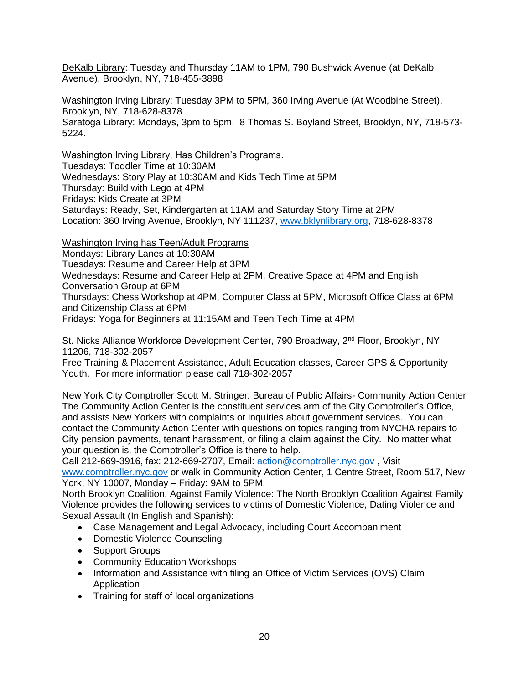DeKalb Library: Tuesday and Thursday 11AM to 1PM, 790 Bushwick Avenue (at DeKalb Avenue), Brooklyn, NY, 718-455-3898

Washington Irving Library: Tuesday 3PM to 5PM, 360 Irving Avenue (At Woodbine Street), Brooklyn, NY, 718-628-8378 Saratoga Library: Mondays, 3pm to 5pm. 8 Thomas S. Boyland Street, Brooklyn, NY, 718-573- 5224.

Washington Irving Library, Has Children's Programs. Tuesdays: Toddler Time at 10:30AM Wednesdays: Story Play at 10:30AM and Kids Tech Time at 5PM Thursday: Build with Lego at 4PM Fridays: Kids Create at 3PM Saturdays: Ready, Set, Kindergarten at 11AM and Saturday Story Time at 2PM Location: 360 Irving Avenue, Brooklyn, NY 111237, [www.bklynlibrary.org,](http://www.bklynlibrary.org/) 718-628-8378

Washington Irving has Teen/Adult Programs

Mondays: Library Lanes at 10:30AM

Tuesdays: Resume and Career Help at 3PM

Wednesdays: Resume and Career Help at 2PM, Creative Space at 4PM and English Conversation Group at 6PM

Thursdays: Chess Workshop at 4PM, Computer Class at 5PM, Microsoft Office Class at 6PM and Citizenship Class at 6PM

Fridays: Yoga for Beginners at 11:15AM and Teen Tech Time at 4PM

St. Nicks Alliance Workforce Development Center, 790 Broadway, 2<sup>nd</sup> Floor, Brooklyn, NY 11206, 718-302-2057

Free Training & Placement Assistance, Adult Education classes, Career GPS & Opportunity Youth. For more information please call 718-302-2057

New York City Comptroller Scott M. Stringer: Bureau of Public Affairs- Community Action Center The Community Action Center is the constituent services arm of the City Comptroller's Office, and assists New Yorkers with complaints or inquiries about government services. You can contact the Community Action Center with questions on topics ranging from NYCHA repairs to City pension payments, tenant harassment, or filing a claim against the City. No matter what your question is, the Comptroller's Office is there to help.

Call 212-669-3916, fax: 212-669-2707, Email: [action@comptroller.nyc.gov](mailto:action@comptroller.nyc.gov) , Visit [www.comptroller.nyc.gov](http://www.comptroller.nyc.gov/) or walk in Community Action Center, 1 Centre Street, Room 517, New York, NY 10007, Monday – Friday: 9AM to 5PM.

North Brooklyn Coalition, Against Family Violence: The North Brooklyn Coalition Against Family Violence provides the following services to victims of Domestic Violence, Dating Violence and Sexual Assault (In English and Spanish):

- Case Management and Legal Advocacy, including Court Accompaniment
- Domestic Violence Counseling
- Support Groups
- Community Education Workshops
- Information and Assistance with filing an Office of Victim Services (OVS) Claim Application
- Training for staff of local organizations